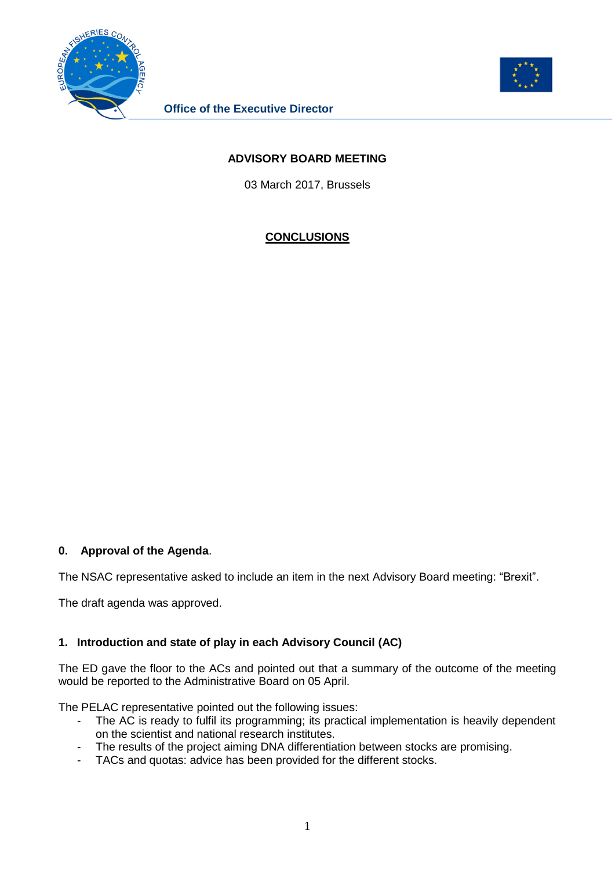



**Office of the Executive Director**

# **ADVISORY BOARD MEETING**

03 March 2017, Brussels

**CONCLUSIONS** 

## **0. Approval of the Agenda**.

The NSAC representative asked to include an item in the next Advisory Board meeting: "Brexit".

The draft agenda was approved.

## **1. Introduction and state of play in each Advisory Council (AC)**

The ED gave the floor to the ACs and pointed out that a summary of the outcome of the meeting would be reported to the Administrative Board on 05 April.

The PELAC representative pointed out the following issues:

- The AC is ready to fulfil its programming; its practical implementation is heavily dependent on the scientist and national research institutes.
- The results of the project aiming DNA differentiation between stocks are promising.
- TACs and quotas: advice has been provided for the different stocks.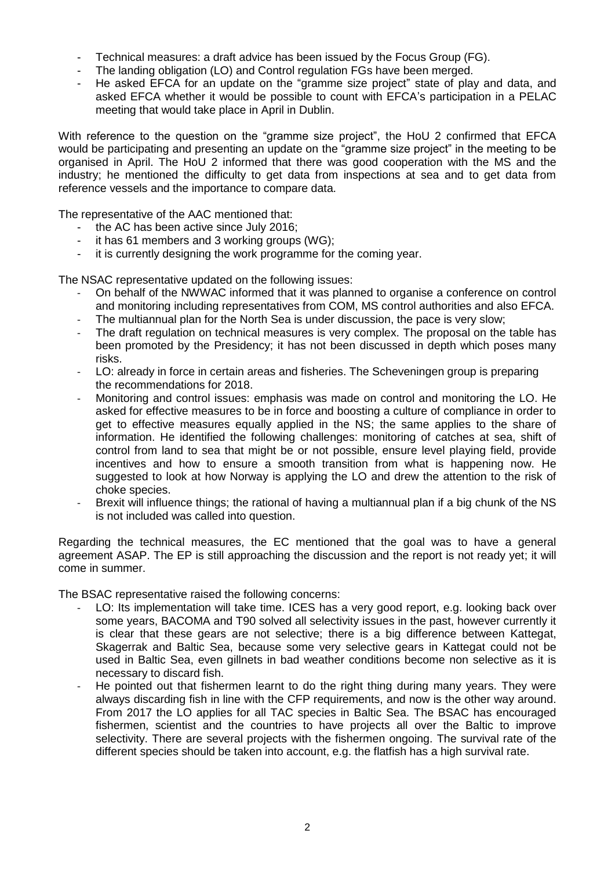- Technical measures: a draft advice has been issued by the Focus Group (FG).
- The landing obligation (LO) and Control regulation FGs have been merged.
- He asked EFCA for an update on the "gramme size project" state of play and data, and asked EFCA whether it would be possible to count with EFCA's participation in a PELAC meeting that would take place in April in Dublin.

With reference to the question on the "gramme size project", the HoU 2 confirmed that EFCA would be participating and presenting an update on the "gramme size project" in the meeting to be organised in April. The HoU 2 informed that there was good cooperation with the MS and the industry; he mentioned the difficulty to get data from inspections at sea and to get data from reference vessels and the importance to compare data.

The representative of the AAC mentioned that:

- the AC has been active since July 2016;
- it has 61 members and 3 working groups (WG);
- it is currently designing the work programme for the coming year.

The NSAC representative updated on the following issues:

- On behalf of the NWWAC informed that it was planned to organise a conference on control and monitoring including representatives from COM, MS control authorities and also EFCA.
- The multiannual plan for the North Sea is under discussion, the pace is very slow;
- The draft regulation on technical measures is very complex. The proposal on the table has been promoted by the Presidency; it has not been discussed in depth which poses many risks.
- LO: already in force in certain areas and fisheries. The Scheveningen group is preparing the recommendations for 2018.
- Monitoring and control issues: emphasis was made on control and monitoring the LO. He asked for effective measures to be in force and boosting a culture of compliance in order to get to effective measures equally applied in the NS; the same applies to the share of information. He identified the following challenges: monitoring of catches at sea, shift of control from land to sea that might be or not possible, ensure level playing field, provide incentives and how to ensure a smooth transition from what is happening now. He suggested to look at how Norway is applying the LO and drew the attention to the risk of choke species.
- Brexit will influence things; the rational of having a multiannual plan if a big chunk of the NS is not included was called into question.

Regarding the technical measures, the EC mentioned that the goal was to have a general agreement ASAP. The EP is still approaching the discussion and the report is not ready yet; it will come in summer.

The BSAC representative raised the following concerns:

- LO: Its implementation will take time. ICES has a very good report, e.g. looking back over some years, BACOMA and T90 solved all selectivity issues in the past, however currently it is clear that these gears are not selective; there is a big difference between Kattegat, Skagerrak and Baltic Sea, because some very selective gears in Kattegat could not be used in Baltic Sea, even gillnets in bad weather conditions become non selective as it is necessary to discard fish.
- He pointed out that fishermen learnt to do the right thing during many years. They were always discarding fish in line with the CFP requirements, and now is the other way around. From 2017 the LO applies for all TAC species in Baltic Sea. The BSAC has encouraged fishermen, scientist and the countries to have projects all over the Baltic to improve selectivity. There are several projects with the fishermen ongoing. The survival rate of the different species should be taken into account, e.g. the flatfish has a high survival rate.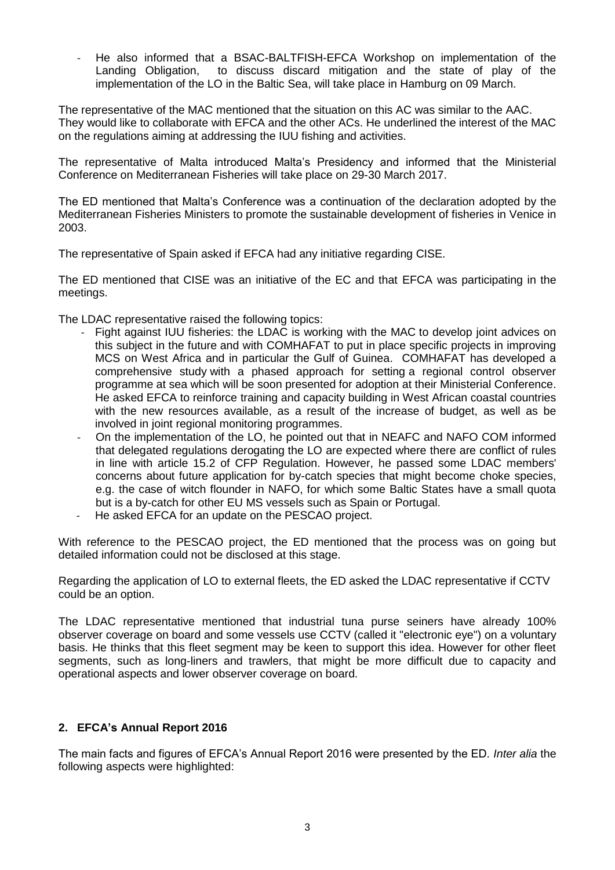- He also informed that a BSAC-BALTFISH-EFCA Workshop on implementation of the Landing Obligation, to discuss discard mitigation and the state of play of the implementation of the LO in the Baltic Sea, will take place in Hamburg on 09 March.

The representative of the MAC mentioned that the situation on this AC was similar to the AAC. They would like to collaborate with EFCA and the other ACs. He underlined the interest of the MAC on the regulations aiming at addressing the IUU fishing and activities.

The representative of Malta introduced Malta's Presidency and informed that the Ministerial Conference on Mediterranean Fisheries will take place on 29-30 March 2017.

The ED mentioned that Malta's Conference was a continuation of the declaration adopted by the Mediterranean Fisheries Ministers to promote the sustainable development of fisheries in Venice in 2003.

The representative of Spain asked if EFCA had any initiative regarding CISE.

The ED mentioned that CISE was an initiative of the EC and that EFCA was participating in the meetings.

The LDAC representative raised the following topics:

- Fight against IUU fisheries: the LDAC is working with the MAC to develop joint advices on this subject in the future and with COMHAFAT to put in place specific projects in improving MCS on West Africa and in particular the Gulf of Guinea. COMHAFAT has developed a comprehensive study with a phased approach for setting a regional control observer programme at sea which will be soon presented for adoption at their Ministerial Conference. He asked EFCA to reinforce training and capacity building in West African coastal countries with the new resources available, as a result of the increase of budget, as well as be involved in joint regional monitoring programmes.
- On the implementation of the LO, he pointed out that in NEAFC and NAFO COM informed that delegated regulations derogating the LO are expected where there are conflict of rules in line with article 15.2 of CFP Regulation. However, he passed some LDAC members' concerns about future application for by-catch species that might become choke species, e.g. the case of witch flounder in NAFO, for which some Baltic States have a small quota but is a by-catch for other EU MS vessels such as Spain or Portugal.
- He asked EFCA for an update on the PESCAO project.

With reference to the PESCAO project, the ED mentioned that the process was on going but detailed information could not be disclosed at this stage.

Regarding the application of LO to external fleets, the ED asked the LDAC representative if CCTV could be an option.

The LDAC representative mentioned that industrial tuna purse seiners have already 100% observer coverage on board and some vessels use CCTV (called it "electronic eye") on a voluntary basis. He thinks that this fleet segment may be keen to support this idea. However for other fleet segments, such as long-liners and trawlers, that might be more difficult due to capacity and operational aspects and lower observer coverage on board.

## **2. EFCA's Annual Report 2016**

The main facts and figures of EFCA's Annual Report 2016 were presented by the ED. *Inter alia* the following aspects were highlighted: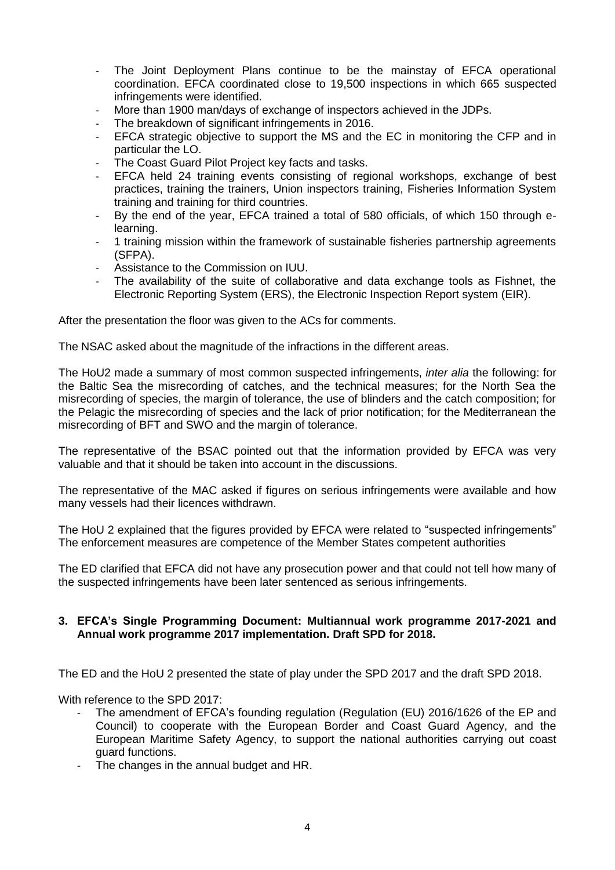- The Joint Deployment Plans continue to be the mainstay of EFCA operational coordination. EFCA coordinated close to 19,500 inspections in which 665 suspected infringements were identified.
- More than 1900 man/days of exchange of inspectors achieved in the JDPs.
- The breakdown of significant infringements in 2016.
- EFCA strategic objective to support the MS and the EC in monitoring the CFP and in particular the LO.
- The Coast Guard Pilot Project key facts and tasks.
- EFCA held 24 training events consisting of regional workshops, exchange of best practices, training the trainers, Union inspectors training, Fisheries Information System training and training for third countries.
- By the end of the year, EFCA trained a total of 580 officials, of which 150 through elearning.
- 1 training mission within the framework of sustainable fisheries partnership agreements (SFPA).
- Assistance to the Commission on IUU.
- The availability of the suite of collaborative and data exchange tools as Fishnet, the Electronic Reporting System (ERS), the Electronic Inspection Report system (EIR).

After the presentation the floor was given to the ACs for comments.

The NSAC asked about the magnitude of the infractions in the different areas.

The HoU2 made a summary of most common suspected infringements, *inter alia* the following: for the Baltic Sea the misrecording of catches, and the technical measures; for the North Sea the misrecording of species, the margin of tolerance, the use of blinders and the catch composition; for the Pelagic the misrecording of species and the lack of prior notification; for the Mediterranean the misrecording of BFT and SWO and the margin of tolerance.

The representative of the BSAC pointed out that the information provided by EFCA was very valuable and that it should be taken into account in the discussions.

The representative of the MAC asked if figures on serious infringements were available and how many vessels had their licences withdrawn.

The HoU 2 explained that the figures provided by EFCA were related to "suspected infringements" The enforcement measures are competence of the Member States competent authorities

The ED clarified that EFCA did not have any prosecution power and that could not tell how many of the suspected infringements have been later sentenced as serious infringements.

#### **3. EFCA's Single Programming Document: Multiannual work programme 2017-2021 and Annual work programme 2017 implementation. Draft SPD for 2018.**

The ED and the HoU 2 presented the state of play under the SPD 2017 and the draft SPD 2018.

With reference to the SPD 2017:

- The amendment of EFCA's founding regulation (Regulation (EU) 2016/1626 of the EP and Council) to cooperate with the European Border and Coast Guard Agency, and the European Maritime Safety Agency, to support the national authorities carrying out coast guard functions.
- The changes in the annual budget and HR.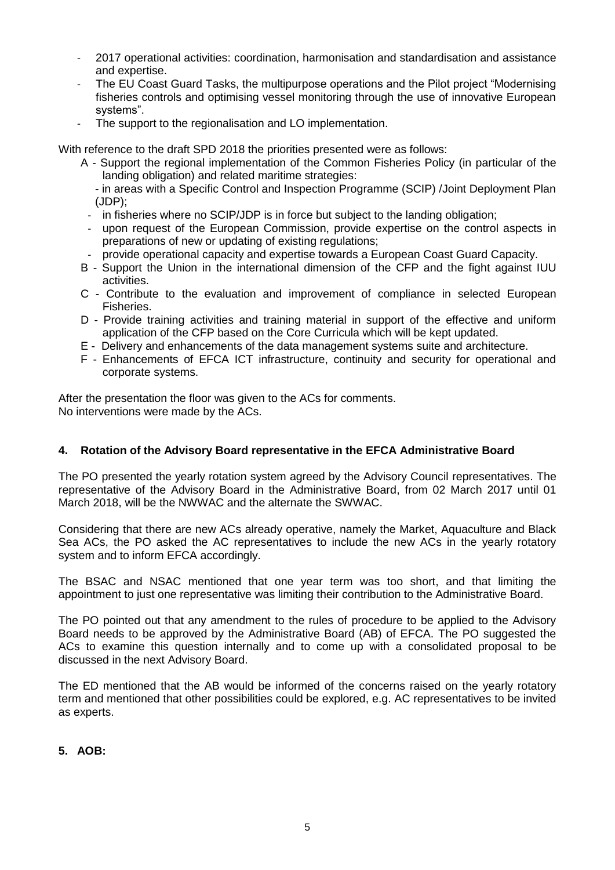- 2017 operational activities: coordination, harmonisation and standardisation and assistance and expertise.
- The EU Coast Guard Tasks, the multipurpose operations and the Pilot project "Modernising fisheries controls and optimising vessel monitoring through the use of innovative European systems".
- The support to the regionalisation and LO implementation.

With reference to the draft SPD 2018 the priorities presented were as follows:

- A Support the regional implementation of the Common Fisheries Policy (in particular of the landing obligation) and related maritime strategies:
	- in areas with a Specific Control and Inspection Programme (SCIP) /Joint Deployment Plan (JDP);
	- in fisheries where no SCIP/JDP is in force but subject to the landing obligation;
	- upon request of the European Commission, provide expertise on the control aspects in preparations of new or updating of existing regulations;
	- provide operational capacity and expertise towards a European Coast Guard Capacity.
- B Support the Union in the international dimension of the CFP and the fight against IUU activities.
- C Contribute to the evaluation and improvement of compliance in selected European Fisheries.
- D Provide training activities and training material in support of the effective and uniform application of the CFP based on the Core Curricula which will be kept updated.
- E Delivery and enhancements of the data management systems suite and architecture.
- F Enhancements of EFCA ICT infrastructure, continuity and security for operational and corporate systems.

After the presentation the floor was given to the ACs for comments. No interventions were made by the ACs.

#### **4. Rotation of the Advisory Board representative in the EFCA Administrative Board**

The PO presented the yearly rotation system agreed by the Advisory Council representatives. The representative of the Advisory Board in the Administrative Board, from 02 March 2017 until 01 March 2018, will be the NWWAC and the alternate the SWWAC.

Considering that there are new ACs already operative, namely the Market, Aquaculture and Black Sea ACs, the PO asked the AC representatives to include the new ACs in the yearly rotatory system and to inform EFCA accordingly.

The BSAC and NSAC mentioned that one year term was too short, and that limiting the appointment to just one representative was limiting their contribution to the Administrative Board.

The PO pointed out that any amendment to the rules of procedure to be applied to the Advisory Board needs to be approved by the Administrative Board (AB) of EFCA. The PO suggested the ACs to examine this question internally and to come up with a consolidated proposal to be discussed in the next Advisory Board.

The ED mentioned that the AB would be informed of the concerns raised on the yearly rotatory term and mentioned that other possibilities could be explored, e.g. AC representatives to be invited as experts.

## **5. AOB:**